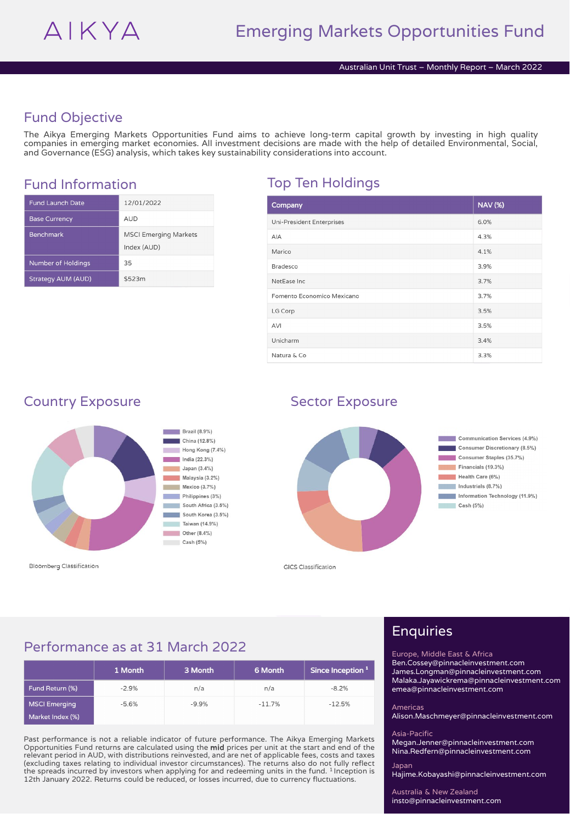## Fund Objective

The Aikya Emerging Markets Opportunities Fund aims to achieve long-term capital growth by investing in high quality companies in emerging market economies. All investment decisions are made with the help of detailed Environmental, Social, and Governance (ESG) analysis, which takes key sustainability considerations into account.

## Fund Information Top Ten Holdings

| <b>Fund Launch Date</b>   | 12/01/2022                                  |
|---------------------------|---------------------------------------------|
| <b>Base Currency</b>      | <b>AUD</b>                                  |
| <b>Benchmark</b>          | <b>MSCI Emerging Markets</b><br>Index (AUD) |
| <b>Number of Holdings</b> | 35                                          |
| <b>Strategy AUM (AUD)</b> | \$523m                                      |

| Company                          | <b>NAV (%)</b> |
|----------------------------------|----------------|
| <b>Uni-President Enterprises</b> | 6.0%           |
| AIA                              | 4.3%           |
| Marico                           | 4.1%           |
| Bradesco                         | 3.9%           |
| NetEase Inc                      | 3.7%           |
| Fomento Economico Mexicano       | 3.7%           |
| LG Corp                          | 3.5%           |
| AVI                              | 3.5%           |
| Unicharm                         | 3.4%           |
| Natura & Co                      | 3.3%           |

### Country Exposure Sector Exposure



**Bloomberg Classification** 



**GICS Classification** 

### Performance as at 31 March 2022

|                      | 1 Month | 3 Month | 6 Month  | Since Inception <sup>1</sup> |
|----------------------|---------|---------|----------|------------------------------|
| Fund Return (%)      | $-2.9%$ | n/a     | n/a      | $-8.2%$                      |
| <b>MSCI Emerging</b> | $-5.6%$ | $-9.9%$ | $-11.7%$ | $-12.5%$                     |
| Market Index (%)     |         |         |          |                              |

Past performance is not a reliable indicator of future performance. The Aikya Emerging Markets Opportunities Fund returns are calculated using the **mid** prices per unit at the start and end of the<br>relevant period in AUD, with distributions reinvested, and are net of applicable fees, costs and taxes (excluding taxes relating to individual investor circumstances). The returns also do not fully reflect the spreads incurred by investors when applying for and redeeming units in the fund. <sup>1</sup> Inception is 12th January 2022. Returns could be reduced, or losses incurred, due to currency fluctuations.

# Enquiries

Europe, Middle East & Africa Ben.Cossey@pinnacleinvestment.com

James.Longman@pinnacleinvestment.com Malaka.Jayawickrema@pinnacleinvestment.com emea@pinnacleinvestment.com

#### Americas

Alison.Maschmeyer@pinnacleinvestment.com

#### Asia-Pacific

Megan.Jenner@pinnacleinvestment.com Nina.Redfern@pinnacleinvestment.com

Japan Hajime.Kobayashi@pinnacleinvestment.com

Australia & New Zealand insto@pinnacleinvestment.com